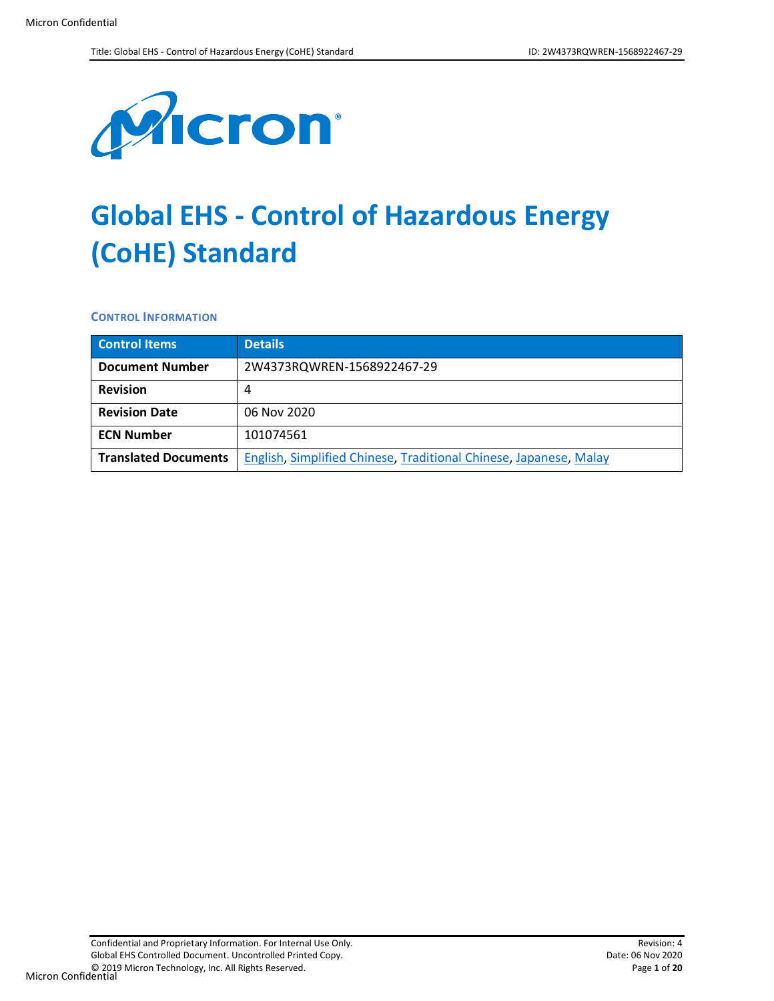

# **Global EHS - Control of Hazardous Energy (CoHE) Standard**

**CONTROL INFORMATION**

| <b>Control Items</b>        | <b>Details</b>                                                    |  |
|-----------------------------|-------------------------------------------------------------------|--|
| <b>Document Number</b>      | 2W4373RQWREN-1568922467-29                                        |  |
| <b>Revision</b>             | 4                                                                 |  |
| <b>Revision Date</b>        | 06 Nov 2020                                                       |  |
| <b>ECN Number</b>           | 101074561                                                         |  |
| <b>Translated Documents</b> | English, Simplified Chinese, Traditional Chinese, Japanese, Malay |  |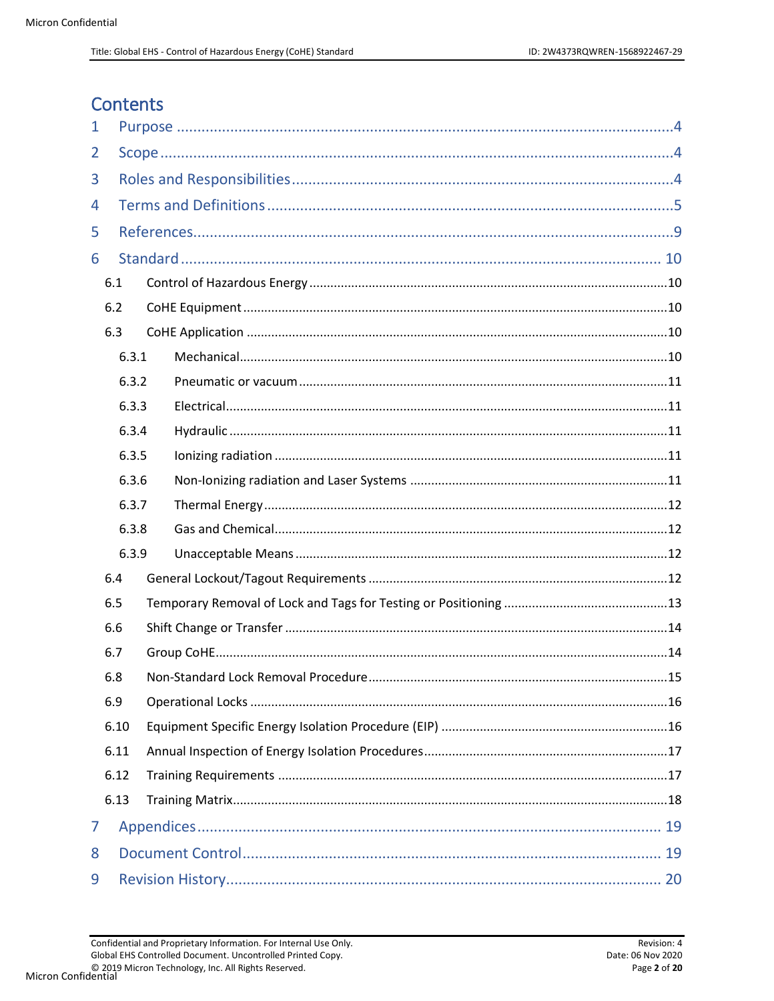# **Contents**

| 1 |       |  |  |
|---|-------|--|--|
| 2 |       |  |  |
| 3 |       |  |  |
| 4 |       |  |  |
| 5 |       |  |  |
| 6 |       |  |  |
|   | 6.1   |  |  |
|   | 6.2   |  |  |
|   | 6.3   |  |  |
|   | 6.3.1 |  |  |
|   | 6.3.2 |  |  |
|   | 6.3.3 |  |  |
|   | 6.3.4 |  |  |
|   | 6.3.5 |  |  |
|   | 6.3.6 |  |  |
|   | 6.3.7 |  |  |
|   | 6.3.8 |  |  |
|   | 6.3.9 |  |  |
|   | 6.4   |  |  |
|   | 6.5   |  |  |
|   | 6.6   |  |  |
|   | 6.7   |  |  |
|   | 6.8   |  |  |
|   | 6.9   |  |  |
|   | 6.10  |  |  |
|   | 6.11  |  |  |
|   | 6.12  |  |  |
|   | 6.13  |  |  |
| 7 |       |  |  |
| 8 |       |  |  |
| 9 |       |  |  |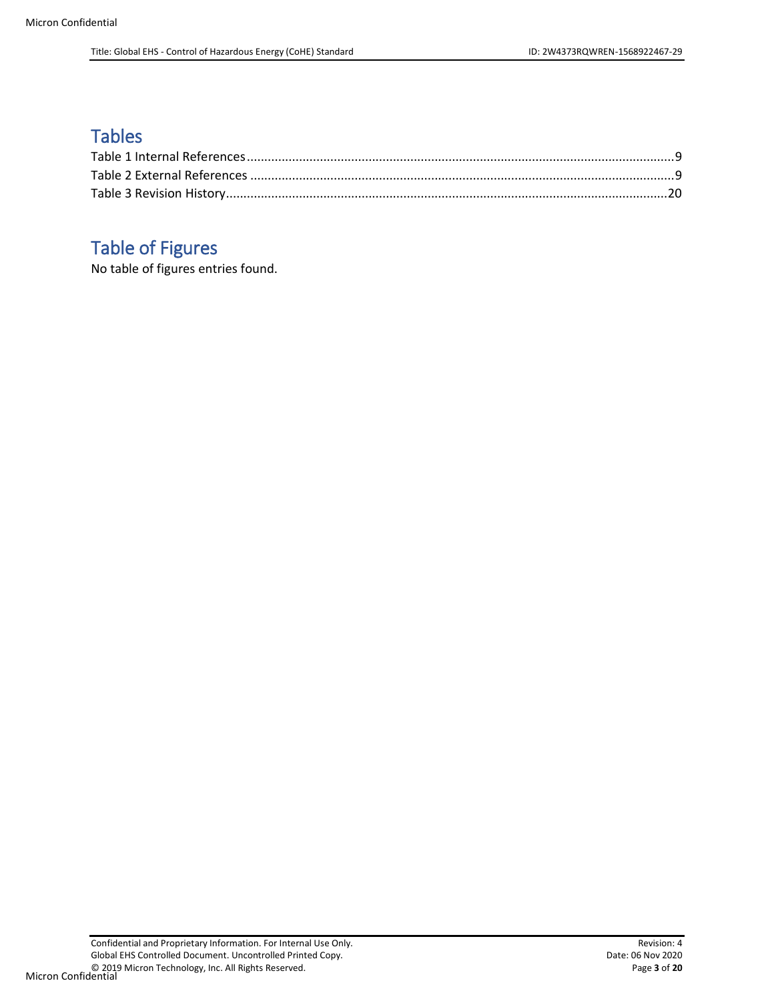# **Tables**

# Table of Figures

No table of figures entries found.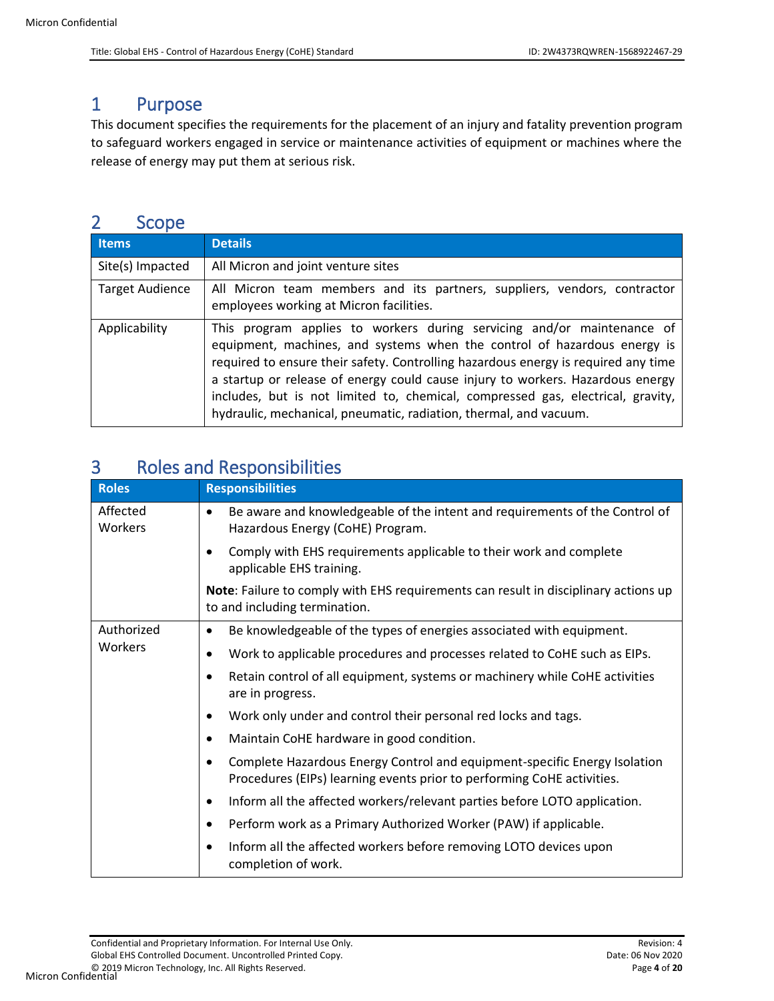# <span id="page-3-0"></span>1 Purpose

This document specifies the requirements for the placement of an injury and fatality prevention program to safeguard workers engaged in service or maintenance activities of equipment or machines where the release of energy may put them at serious risk.

# <span id="page-3-1"></span>2 Scope

| <b>Items</b>           | <b>Details</b>                                                                                                                                                                                                                                                                                                                                                                                                                                                                     |  |
|------------------------|------------------------------------------------------------------------------------------------------------------------------------------------------------------------------------------------------------------------------------------------------------------------------------------------------------------------------------------------------------------------------------------------------------------------------------------------------------------------------------|--|
| Site(s) Impacted       | All Micron and joint venture sites                                                                                                                                                                                                                                                                                                                                                                                                                                                 |  |
| <b>Target Audience</b> | All Micron team members and its partners, suppliers, vendors, contractor<br>employees working at Micron facilities.                                                                                                                                                                                                                                                                                                                                                                |  |
| Applicability          | This program applies to workers during servicing and/or maintenance of<br>equipment, machines, and systems when the control of hazardous energy is<br>required to ensure their safety. Controlling hazardous energy is required any time<br>a startup or release of energy could cause injury to workers. Hazardous energy<br>includes, but is not limited to, chemical, compressed gas, electrical, gravity,<br>hydraulic, mechanical, pneumatic, radiation, thermal, and vacuum. |  |

# <span id="page-3-2"></span>3 Roles and Responsibilities

| <b>Roles</b>        | <b>Responsibilities</b>                                                                                                                             |
|---------------------|-----------------------------------------------------------------------------------------------------------------------------------------------------|
| Affected<br>Workers | Be aware and knowledgeable of the intent and requirements of the Control of<br>$\bullet$<br>Hazardous Energy (CoHE) Program.                        |
|                     | Comply with EHS requirements applicable to their work and complete<br>applicable EHS training.                                                      |
|                     | Note: Failure to comply with EHS requirements can result in disciplinary actions up<br>to and including termination.                                |
| Authorized          | Be knowledgeable of the types of energies associated with equipment.                                                                                |
| Workers             | Work to applicable procedures and processes related to CoHE such as EIPs.<br>٠                                                                      |
|                     | Retain control of all equipment, systems or machinery while CoHE activities<br>are in progress.                                                     |
|                     | Work only under and control their personal red locks and tags.                                                                                      |
|                     | Maintain CoHE hardware in good condition.<br>٠                                                                                                      |
|                     | Complete Hazardous Energy Control and equipment-specific Energy Isolation<br>Procedures (EIPs) learning events prior to performing CoHE activities. |
|                     | Inform all the affected workers/relevant parties before LOTO application.<br>٠                                                                      |
|                     | Perform work as a Primary Authorized Worker (PAW) if applicable.                                                                                    |
|                     | Inform all the affected workers before removing LOTO devices upon<br>completion of work.                                                            |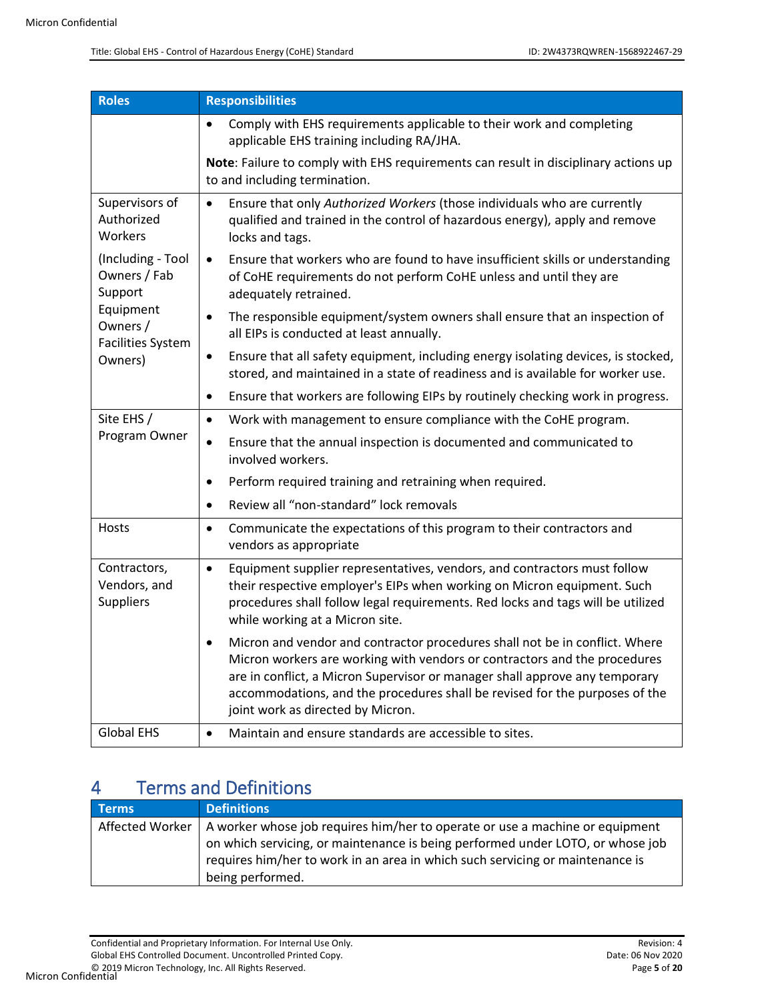| <b>Roles</b>                                      | <b>Responsibilities</b>                                                                                                                                                                                                                                                                                                                                                  |
|---------------------------------------------------|--------------------------------------------------------------------------------------------------------------------------------------------------------------------------------------------------------------------------------------------------------------------------------------------------------------------------------------------------------------------------|
|                                                   | Comply with EHS requirements applicable to their work and completing<br>applicable EHS training including RA/JHA.                                                                                                                                                                                                                                                        |
|                                                   | Note: Failure to comply with EHS requirements can result in disciplinary actions up<br>to and including termination.                                                                                                                                                                                                                                                     |
| Supervisors of<br>Authorized<br>Workers           | Ensure that only Authorized Workers (those individuals who are currently<br>$\bullet$<br>qualified and trained in the control of hazardous energy), apply and remove<br>locks and tags.                                                                                                                                                                                  |
| (Including - Tool<br>Owners / Fab<br>Support      | Ensure that workers who are found to have insufficient skills or understanding<br>$\bullet$<br>of CoHE requirements do not perform CoHE unless and until they are<br>adequately retrained.                                                                                                                                                                               |
| Equipment<br>Owners /<br><b>Facilities System</b> | The responsible equipment/system owners shall ensure that an inspection of<br>all EIPs is conducted at least annually.                                                                                                                                                                                                                                                   |
| Owners)                                           | Ensure that all safety equipment, including energy isolating devices, is stocked,<br>$\bullet$<br>stored, and maintained in a state of readiness and is available for worker use.                                                                                                                                                                                        |
|                                                   | Ensure that workers are following EIPs by routinely checking work in progress.<br>$\bullet$                                                                                                                                                                                                                                                                              |
| Site EHS /                                        | Work with management to ensure compliance with the CoHE program.<br>$\bullet$                                                                                                                                                                                                                                                                                            |
| Program Owner                                     | Ensure that the annual inspection is documented and communicated to<br>$\bullet$<br>involved workers.                                                                                                                                                                                                                                                                    |
|                                                   | Perform required training and retraining when required.<br>$\bullet$                                                                                                                                                                                                                                                                                                     |
|                                                   | Review all "non-standard" lock removals<br>$\bullet$                                                                                                                                                                                                                                                                                                                     |
| Hosts                                             | Communicate the expectations of this program to their contractors and<br>$\bullet$<br>vendors as appropriate                                                                                                                                                                                                                                                             |
| Contractors,<br>Vendors, and<br><b>Suppliers</b>  | Equipment supplier representatives, vendors, and contractors must follow<br>$\bullet$<br>their respective employer's EIPs when working on Micron equipment. Such<br>procedures shall follow legal requirements. Red locks and tags will be utilized<br>while working at a Micron site.                                                                                   |
|                                                   | Micron and vendor and contractor procedures shall not be in conflict. Where<br>$\bullet$<br>Micron workers are working with vendors or contractors and the procedures<br>are in conflict, a Micron Supervisor or manager shall approve any temporary<br>accommodations, and the procedures shall be revised for the purposes of the<br>joint work as directed by Micron. |
| <b>Global EHS</b>                                 | Maintain and ensure standards are accessible to sites.<br>$\bullet$                                                                                                                                                                                                                                                                                                      |

# <span id="page-4-0"></span>4 Terms and Definitions

| <b>Terms</b>    | <b>Definitions</b>                                                                                                                                                                                                                              |
|-----------------|-------------------------------------------------------------------------------------------------------------------------------------------------------------------------------------------------------------------------------------------------|
| Affected Worker | A worker whose job requires him/her to operate or use a machine or equipment<br>on which servicing, or maintenance is being performed under LOTO, or whose job<br>requires him/her to work in an area in which such servicing or maintenance is |
|                 | being performed.                                                                                                                                                                                                                                |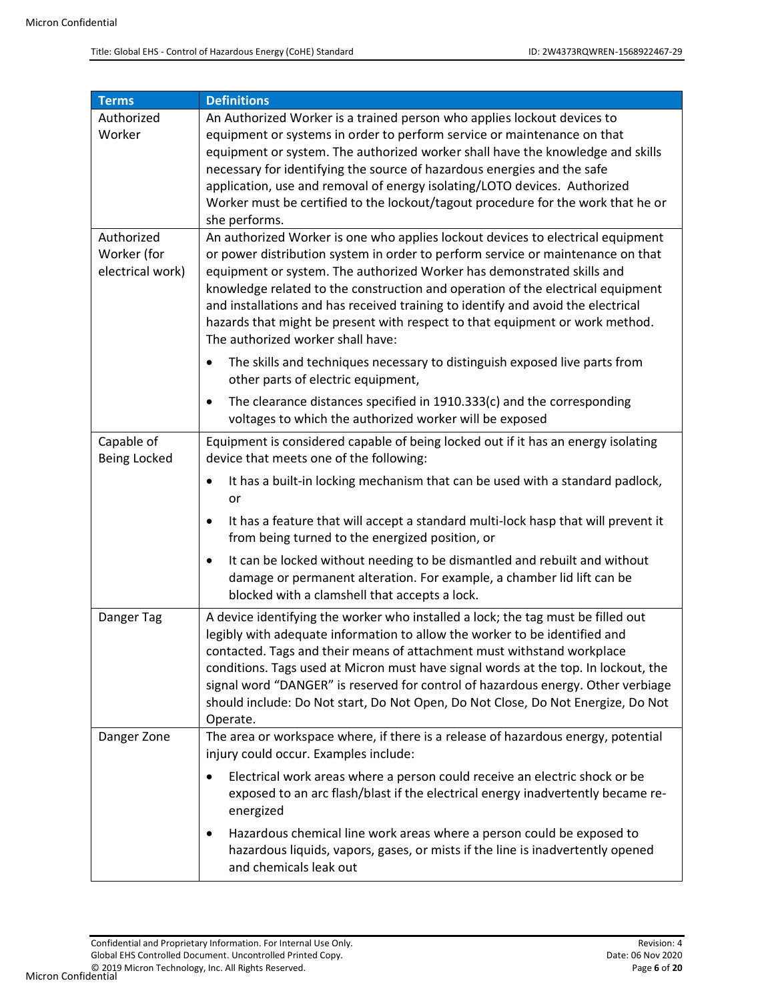| <b>Terms</b>        | <b>Definitions</b>                                                                             |
|---------------------|------------------------------------------------------------------------------------------------|
| Authorized          | An Authorized Worker is a trained person who applies lockout devices to                        |
| Worker              | equipment or systems in order to perform service or maintenance on that                        |
|                     | equipment or system. The authorized worker shall have the knowledge and skills                 |
|                     | necessary for identifying the source of hazardous energies and the safe                        |
|                     | application, use and removal of energy isolating/LOTO devices. Authorized                      |
|                     | Worker must be certified to the lockout/tagout procedure for the work that he or               |
|                     | she performs.                                                                                  |
| Authorized          | An authorized Worker is one who applies lockout devices to electrical equipment                |
| Worker (for         | or power distribution system in order to perform service or maintenance on that                |
| electrical work)    | equipment or system. The authorized Worker has demonstrated skills and                         |
|                     | knowledge related to the construction and operation of the electrical equipment                |
|                     | and installations and has received training to identify and avoid the electrical               |
|                     | hazards that might be present with respect to that equipment or work method.                   |
|                     | The authorized worker shall have:                                                              |
|                     | The skills and techniques necessary to distinguish exposed live parts from                     |
|                     | other parts of electric equipment,                                                             |
|                     |                                                                                                |
|                     | The clearance distances specified in 1910.333(c) and the corresponding<br>$\bullet$            |
|                     | voltages to which the authorized worker will be exposed                                        |
| Capable of          | Equipment is considered capable of being locked out if it has an energy isolating              |
| <b>Being Locked</b> | device that meets one of the following:                                                        |
|                     | It has a built-in locking mechanism that can be used with a standard padlock,<br>$\bullet$     |
|                     | or                                                                                             |
|                     | It has a feature that will accept a standard multi-lock hasp that will prevent it<br>$\bullet$ |
|                     | from being turned to the energized position, or                                                |
|                     |                                                                                                |
|                     | It can be locked without needing to be dismantled and rebuilt and without<br>$\bullet$         |
|                     | damage or permanent alteration. For example, a chamber lid lift can be                         |
|                     | blocked with a clamshell that accepts a lock.                                                  |
| Danger Tag          | A device identifying the worker who installed a lock; the tag must be filled out               |
|                     | legibly with adequate information to allow the worker to be identified and                     |
|                     | contacted. Tags and their means of attachment must withstand workplace                         |
|                     | conditions. Tags used at Micron must have signal words at the top. In lockout, the             |
|                     | signal word "DANGER" is reserved for control of hazardous energy. Other verbiage               |
|                     | should include: Do Not start, Do Not Open, Do Not Close, Do Not Energize, Do Not               |
|                     | Operate.                                                                                       |
| Danger Zone         | The area or workspace where, if there is a release of hazardous energy, potential              |
|                     | injury could occur. Examples include:                                                          |
|                     | Electrical work areas where a person could receive an electric shock or be<br>$\bullet$        |
|                     |                                                                                                |
|                     | exposed to an arc flash/blast if the electrical energy inadvertently became re-                |
|                     | energized                                                                                      |
|                     | Hazardous chemical line work areas where a person could be exposed to<br>٠                     |
|                     | hazardous liquids, vapors, gases, or mists if the line is inadvertently opened                 |
|                     | and chemicals leak out                                                                         |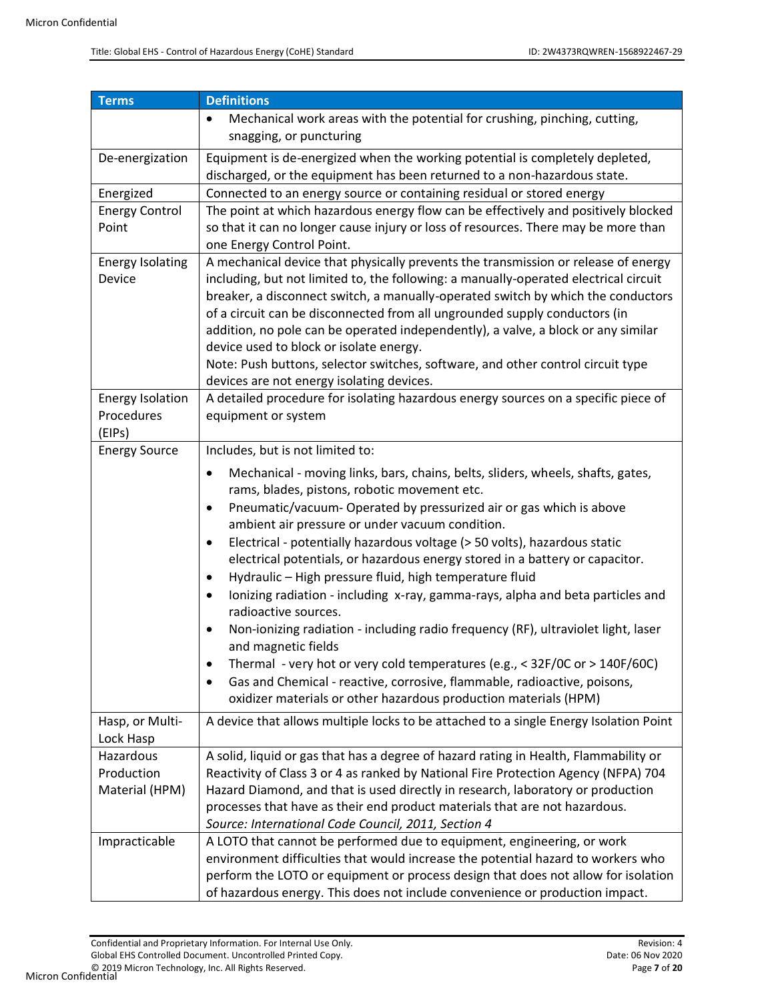| <b>Terms</b>                                               | <b>Definitions</b>                                                                                                                                                                                                                                                                                                                                                                                                                                                                                                                                                                                                                                                                                                                                                                                                                                                                                                                                                                                                                           |
|------------------------------------------------------------|----------------------------------------------------------------------------------------------------------------------------------------------------------------------------------------------------------------------------------------------------------------------------------------------------------------------------------------------------------------------------------------------------------------------------------------------------------------------------------------------------------------------------------------------------------------------------------------------------------------------------------------------------------------------------------------------------------------------------------------------------------------------------------------------------------------------------------------------------------------------------------------------------------------------------------------------------------------------------------------------------------------------------------------------|
|                                                            | Mechanical work areas with the potential for crushing, pinching, cutting,<br>snagging, or puncturing                                                                                                                                                                                                                                                                                                                                                                                                                                                                                                                                                                                                                                                                                                                                                                                                                                                                                                                                         |
| De-energization                                            | Equipment is de-energized when the working potential is completely depleted,<br>discharged, or the equipment has been returned to a non-hazardous state.                                                                                                                                                                                                                                                                                                                                                                                                                                                                                                                                                                                                                                                                                                                                                                                                                                                                                     |
| Energized                                                  | Connected to an energy source or containing residual or stored energy                                                                                                                                                                                                                                                                                                                                                                                                                                                                                                                                                                                                                                                                                                                                                                                                                                                                                                                                                                        |
| <b>Energy Control</b><br>Point                             | The point at which hazardous energy flow can be effectively and positively blocked<br>so that it can no longer cause injury or loss of resources. There may be more than<br>one Energy Control Point.                                                                                                                                                                                                                                                                                                                                                                                                                                                                                                                                                                                                                                                                                                                                                                                                                                        |
| <b>Energy Isolating</b><br>Device                          | A mechanical device that physically prevents the transmission or release of energy<br>including, but not limited to, the following: a manually-operated electrical circuit<br>breaker, a disconnect switch, a manually-operated switch by which the conductors<br>of a circuit can be disconnected from all ungrounded supply conductors (in<br>addition, no pole can be operated independently), a valve, a block or any similar<br>device used to block or isolate energy.<br>Note: Push buttons, selector switches, software, and other control circuit type<br>devices are not energy isolating devices.                                                                                                                                                                                                                                                                                                                                                                                                                                 |
| <b>Energy Isolation</b><br>Procedures<br>(EIPs)            | A detailed procedure for isolating hazardous energy sources on a specific piece of<br>equipment or system                                                                                                                                                                                                                                                                                                                                                                                                                                                                                                                                                                                                                                                                                                                                                                                                                                                                                                                                    |
| <b>Energy Source</b>                                       | Includes, but is not limited to:                                                                                                                                                                                                                                                                                                                                                                                                                                                                                                                                                                                                                                                                                                                                                                                                                                                                                                                                                                                                             |
| Hasp, or Multi-                                            | Mechanical - moving links, bars, chains, belts, sliders, wheels, shafts, gates,<br>$\bullet$<br>rams, blades, pistons, robotic movement etc.<br>Pneumatic/vacuum- Operated by pressurized air or gas which is above<br>ambient air pressure or under vacuum condition.<br>Electrical - potentially hazardous voltage (> 50 volts), hazardous static<br>electrical potentials, or hazardous energy stored in a battery or capacitor.<br>Hydraulic - High pressure fluid, high temperature fluid<br>Ionizing radiation - including x-ray, gamma-rays, alpha and beta particles and<br>radioactive sources.<br>Non-ionizing radiation - including radio frequency (RF), ultraviolet light, laser<br>and magnetic fields<br>Thermal - very hot or very cold temperatures (e.g., < 32F/0C or > 140F/60C)<br>Gas and Chemical - reactive, corrosive, flammable, radioactive, poisons,<br>oxidizer materials or other hazardous production materials (HPM)<br>A device that allows multiple locks to be attached to a single Energy Isolation Point |
| Lock Hasp                                                  |                                                                                                                                                                                                                                                                                                                                                                                                                                                                                                                                                                                                                                                                                                                                                                                                                                                                                                                                                                                                                                              |
| Hazardous<br>Production<br>Material (HPM)<br>Impracticable | A solid, liquid or gas that has a degree of hazard rating in Health, Flammability or<br>Reactivity of Class 3 or 4 as ranked by National Fire Protection Agency (NFPA) 704<br>Hazard Diamond, and that is used directly in research, laboratory or production<br>processes that have as their end product materials that are not hazardous.<br>Source: International Code Council, 2011, Section 4<br>A LOTO that cannot be performed due to equipment, engineering, or work                                                                                                                                                                                                                                                                                                                                                                                                                                                                                                                                                                 |
|                                                            | environment difficulties that would increase the potential hazard to workers who<br>perform the LOTO or equipment or process design that does not allow for isolation<br>of hazardous energy. This does not include convenience or production impact.                                                                                                                                                                                                                                                                                                                                                                                                                                                                                                                                                                                                                                                                                                                                                                                        |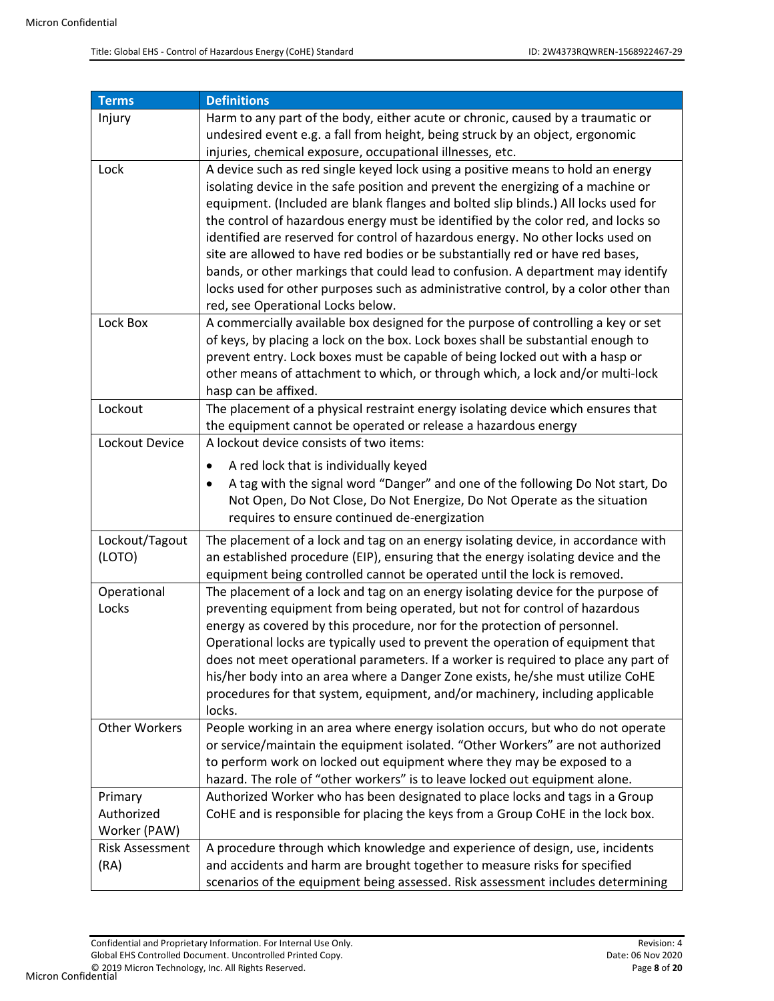| <b>Terms</b>           | <b>Definitions</b>                                                                                                                                                      |
|------------------------|-------------------------------------------------------------------------------------------------------------------------------------------------------------------------|
| Injury                 | Harm to any part of the body, either acute or chronic, caused by a traumatic or                                                                                         |
|                        | undesired event e.g. a fall from height, being struck by an object, ergonomic                                                                                           |
|                        | injuries, chemical exposure, occupational illnesses, etc.                                                                                                               |
| Lock                   | A device such as red single keyed lock using a positive means to hold an energy                                                                                         |
|                        | isolating device in the safe position and prevent the energizing of a machine or                                                                                        |
|                        | equipment. (Included are blank flanges and bolted slip blinds.) All locks used for                                                                                      |
|                        | the control of hazardous energy must be identified by the color red, and locks so                                                                                       |
|                        | identified are reserved for control of hazardous energy. No other locks used on                                                                                         |
|                        | site are allowed to have red bodies or be substantially red or have red bases,                                                                                          |
|                        | bands, or other markings that could lead to confusion. A department may identify<br>locks used for other purposes such as administrative control, by a color other than |
|                        | red, see Operational Locks below.                                                                                                                                       |
| Lock Box               | A commercially available box designed for the purpose of controlling a key or set                                                                                       |
|                        | of keys, by placing a lock on the box. Lock boxes shall be substantial enough to                                                                                        |
|                        | prevent entry. Lock boxes must be capable of being locked out with a hasp or                                                                                            |
|                        | other means of attachment to which, or through which, a lock and/or multi-lock                                                                                          |
|                        | hasp can be affixed.                                                                                                                                                    |
| Lockout                | The placement of a physical restraint energy isolating device which ensures that                                                                                        |
|                        | the equipment cannot be operated or release a hazardous energy                                                                                                          |
| Lockout Device         | A lockout device consists of two items:                                                                                                                                 |
|                        | A red lock that is individually keyed                                                                                                                                   |
|                        | A tag with the signal word "Danger" and one of the following Do Not start, Do                                                                                           |
|                        | Not Open, Do Not Close, Do Not Energize, Do Not Operate as the situation                                                                                                |
|                        | requires to ensure continued de-energization                                                                                                                            |
| Lockout/Tagout         | The placement of a lock and tag on an energy isolating device, in accordance with                                                                                       |
| (LOTO)                 | an established procedure (EIP), ensuring that the energy isolating device and the                                                                                       |
|                        | equipment being controlled cannot be operated until the lock is removed.                                                                                                |
| Operational            | The placement of a lock and tag on an energy isolating device for the purpose of                                                                                        |
| Locks                  | preventing equipment from being operated, but not for control of hazardous                                                                                              |
|                        | energy as covered by this procedure, nor for the protection of personnel.                                                                                               |
|                        | Operational locks are typically used to prevent the operation of equipment that                                                                                         |
|                        | does not meet operational parameters. If a worker is required to place any part of<br>his/her body into an area where a Danger Zone exists, he/she must utilize CoHE    |
|                        | procedures for that system, equipment, and/or machinery, including applicable                                                                                           |
|                        | locks.                                                                                                                                                                  |
| <b>Other Workers</b>   | People working in an area where energy isolation occurs, but who do not operate                                                                                         |
|                        | or service/maintain the equipment isolated. "Other Workers" are not authorized                                                                                          |
|                        | to perform work on locked out equipment where they may be exposed to a                                                                                                  |
|                        | hazard. The role of "other workers" is to leave locked out equipment alone.                                                                                             |
| Primary                | Authorized Worker who has been designated to place locks and tags in a Group                                                                                            |
| Authorized             | CoHE and is responsible for placing the keys from a Group CoHE in the lock box.                                                                                         |
| Worker (PAW)           |                                                                                                                                                                         |
| <b>Risk Assessment</b> | A procedure through which knowledge and experience of design, use, incidents                                                                                            |
| (RA)                   | and accidents and harm are brought together to measure risks for specified                                                                                              |
|                        | scenarios of the equipment being assessed. Risk assessment includes determining                                                                                         |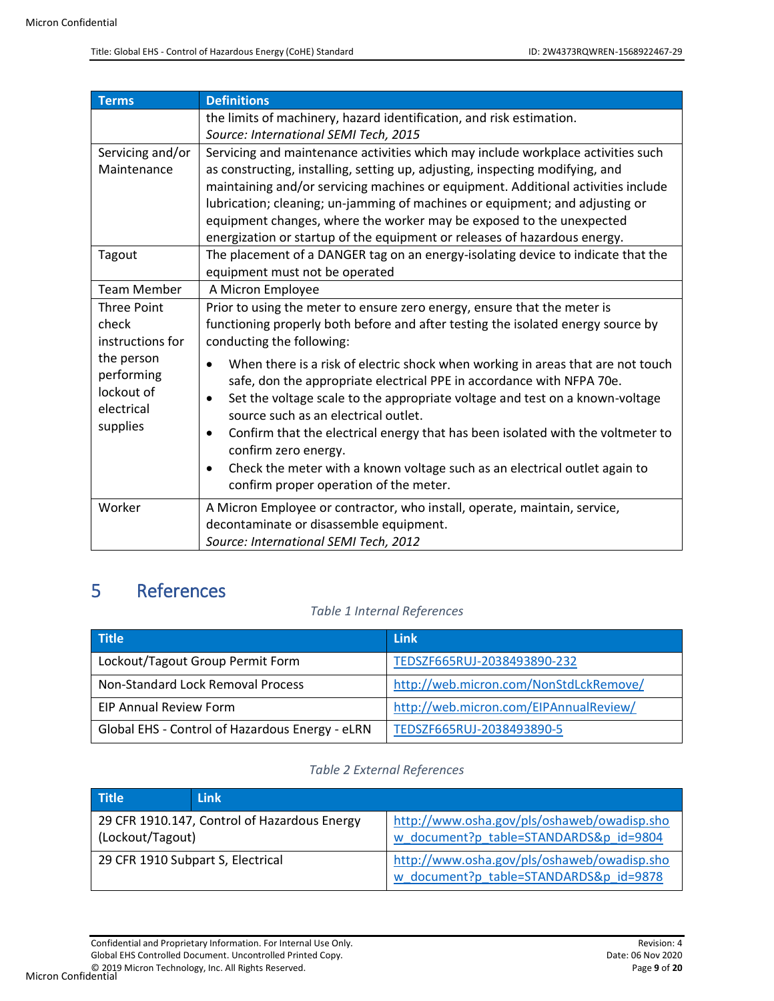| <b>Terms</b>       | <b>Definitions</b>                                                                      |  |
|--------------------|-----------------------------------------------------------------------------------------|--|
|                    | the limits of machinery, hazard identification, and risk estimation.                    |  |
|                    | Source: International SEMI Tech, 2015                                                   |  |
| Servicing and/or   | Servicing and maintenance activities which may include workplace activities such        |  |
| Maintenance        | as constructing, installing, setting up, adjusting, inspecting modifying, and           |  |
|                    | maintaining and/or servicing machines or equipment. Additional activities include       |  |
|                    | lubrication; cleaning; un-jamming of machines or equipment; and adjusting or            |  |
|                    | equipment changes, where the worker may be exposed to the unexpected                    |  |
|                    | energization or startup of the equipment or releases of hazardous energy.               |  |
| Tagout             | The placement of a DANGER tag on an energy-isolating device to indicate that the        |  |
|                    | equipment must not be operated                                                          |  |
| <b>Team Member</b> | A Micron Employee                                                                       |  |
| <b>Three Point</b> | Prior to using the meter to ensure zero energy, ensure that the meter is                |  |
| check              | functioning properly both before and after testing the isolated energy source by        |  |
| instructions for   | conducting the following:                                                               |  |
| the person         | When there is a risk of electric shock when working in areas that are not touch         |  |
| performing         | safe, don the appropriate electrical PPE in accordance with NFPA 70e.                   |  |
| lockout of         | Set the voltage scale to the appropriate voltage and test on a known-voltage            |  |
| electrical         | source such as an electrical outlet.                                                    |  |
| supplies           | Confirm that the electrical energy that has been isolated with the voltmeter to         |  |
|                    | confirm zero energy.                                                                    |  |
|                    | Check the meter with a known voltage such as an electrical outlet again to<br>$\bullet$ |  |
|                    | confirm proper operation of the meter.                                                  |  |
| Worker             | A Micron Employee or contractor, who install, operate, maintain, service,               |  |
|                    | decontaminate or disassemble equipment.                                                 |  |
|                    | Source: International SEMI Tech, 2012                                                   |  |
|                    |                                                                                         |  |

# <span id="page-8-1"></span><span id="page-8-0"></span>5 References

#### *Table 1 Internal References*

| <b>Title</b>                                    | <b>Link</b>                            |
|-------------------------------------------------|----------------------------------------|
| Lockout/Tagout Group Permit Form                | TEDSZF665RUJ-2038493890-232            |
| Non-Standard Lock Removal Process               | http://web.micron.com/NonStdLckRemove/ |
| <b>EIP Annual Review Form</b>                   | http://web.micron.com/EIPAnnualReview/ |
| Global EHS - Control of Hazardous Energy - eLRN | TEDSZF665RUJ-2038493890-5              |

### *Table 2 External References*

<span id="page-8-2"></span>

| <b>Title</b>                                                     | <b>Link</b> |                                                                                       |  |
|------------------------------------------------------------------|-------------|---------------------------------------------------------------------------------------|--|
| 29 CFR 1910.147, Control of Hazardous Energy<br>(Lockout/Tagout) |             | http://www.osha.gov/pls/oshaweb/owadisp.sho<br>w document?p table=STANDARDS&p_id=9804 |  |
| 29 CFR 1910 Subpart S, Electrical                                |             | http://www.osha.gov/pls/oshaweb/owadisp.sho<br>w document?p table=STANDARDS&p id=9878 |  |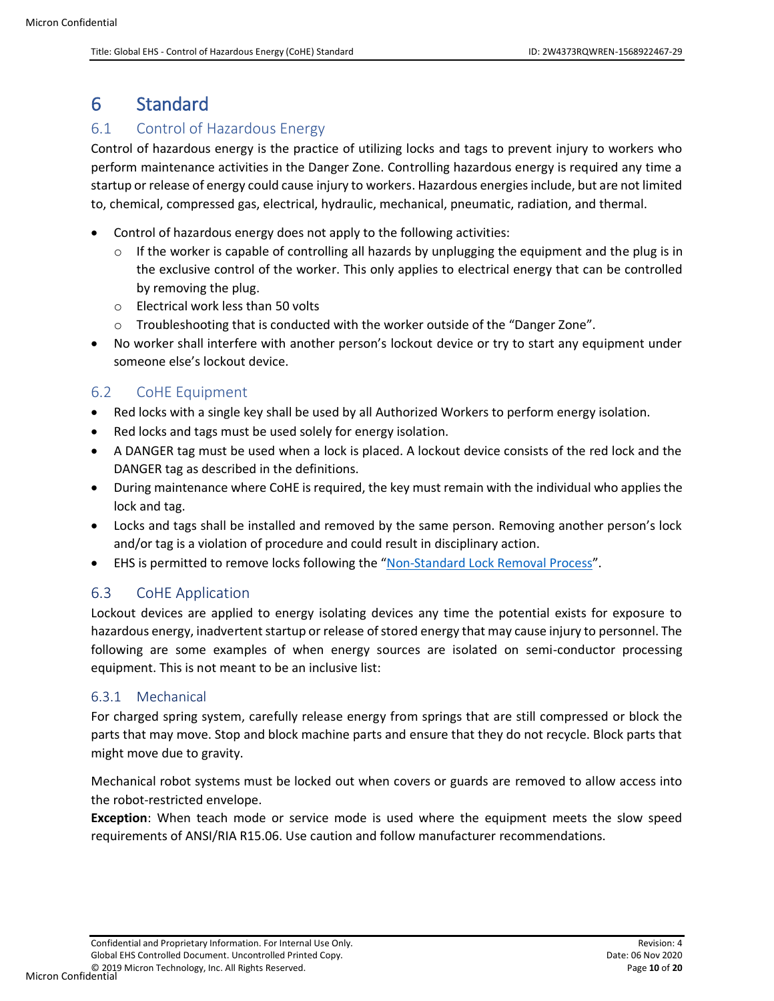# <span id="page-9-0"></span>6 Standard

# <span id="page-9-1"></span>6.1 Control of Hazardous Energy

Control of hazardous energy is the practice of utilizing locks and tags to prevent injury to workers who perform maintenance activities in the Danger Zone. Controlling hazardous energy is required any time a startup or release of energy could cause injury to workers. Hazardous energies include, but are not limited to, chemical, compressed gas, electrical, hydraulic, mechanical, pneumatic, radiation, and thermal.

- Control of hazardous energy does not apply to the following activities:
	- $\circ$  If the worker is capable of controlling all hazards by unplugging the equipment and the plug is in the exclusive control of the worker. This only applies to electrical energy that can be controlled by removing the plug.
	- o Electrical work less than 50 volts
	- o Troubleshooting that is conducted with the worker outside of the "Danger Zone".
- No worker shall interfere with another person's lockout device or try to start any equipment under someone else's lockout device.

### <span id="page-9-2"></span>6.2 CoHE Equipment

- Red locks with a single key shall be used by all Authorized Workers to perform energy isolation.
- Red locks and tags must be used solely for energy isolation.
- A DANGER tag must be used when a lock is placed. A lockout device consists of the red lock and the DANGER tag as described in the definitions.
- During maintenance where CoHE is required, the key must remain with the individual who applies the lock and tag.
- Locks and tags shall be installed and removed by the same person. Removing another person's lock and/or tag is a violation of procedure and could result in disciplinary action.
- EHS is permitted to remove locks following the "[Non-Standard Lock Removal Process](#page-8-0)".

### <span id="page-9-3"></span>6.3 CoHE Application

Lockout devices are applied to energy isolating devices any time the potential exists for exposure to hazardous energy, inadvertent startup or release of stored energy that may cause injury to personnel. The following are some examples of when energy sources are isolated on semi-conductor processing equipment. This is not meant to be an inclusive list:

#### <span id="page-9-4"></span>6.3.1 Mechanical

For charged spring system, carefully release energy from springs that are still compressed or block the parts that may move. Stop and block machine parts and ensure that they do not recycle. Block parts that might move due to gravity.

Mechanical robot systems must be locked out when covers or guards are removed to allow access into the robot-restricted envelope.

**Exception**: When teach mode or service mode is used where the equipment meets the slow speed requirements of ANSI/RIA R15.06. Use caution and follow manufacturer recommendations.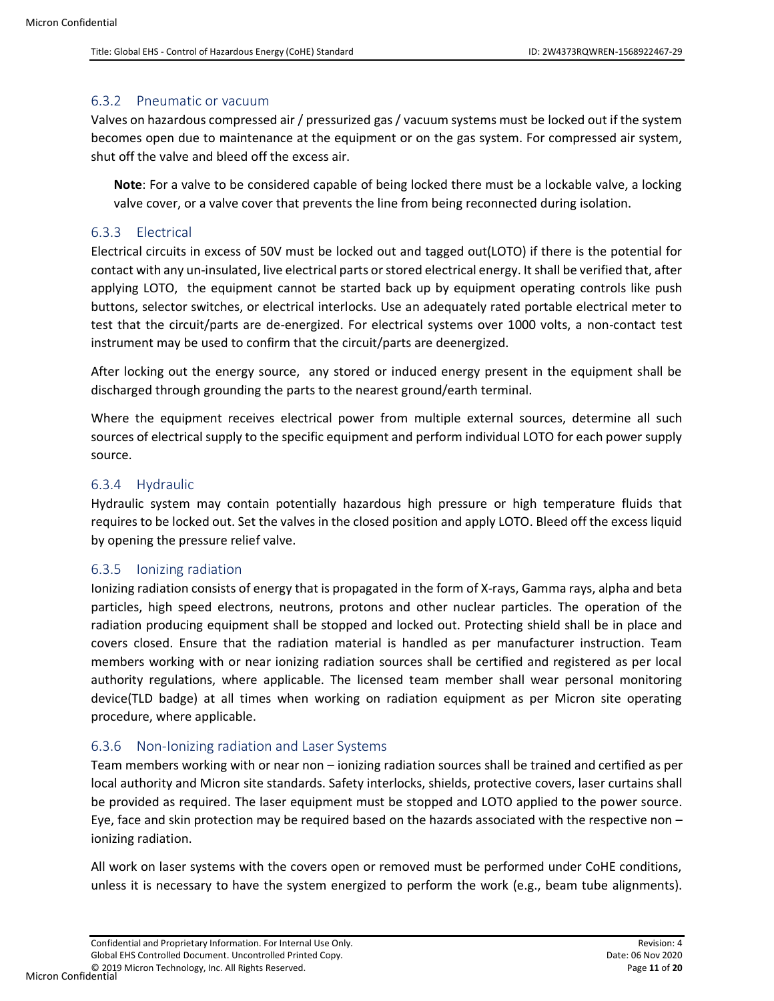#### <span id="page-10-0"></span>6.3.2 Pneumatic or vacuum

Valves on hazardous compressed air / pressurized gas / vacuum systems must be locked out if the system becomes open due to maintenance at the equipment or on the gas system. For compressed air system, shut off the valve and bleed off the excess air.

**Note**: For a valve to be considered capable of being locked there must be a lockable valve, a locking valve cover, or a valve cover that prevents the line from being reconnected during isolation.

#### <span id="page-10-1"></span>6.3.3 Electrical

Electrical circuits in excess of 50V must be locked out and tagged out(LOTO) if there is the potential for contact with any un-insulated, live electrical parts or stored electrical energy. It shall be verified that, after applying LOTO, the equipment cannot be started back up by equipment operating controls like push buttons, selector switches, or electrical interlocks. Use an adequately rated portable electrical meter to test that the circuit/parts are de-energized. For electrical systems over 1000 volts, a non-contact test instrument may be used to confirm that the circuit/parts are deenergized.

After locking out the energy source, any stored or induced energy present in the equipment shall be discharged through grounding the parts to the nearest ground/earth terminal.

Where the equipment receives electrical power from multiple external sources, determine all such sources of electrical supply to the specific equipment and perform individual LOTO for each power supply source.

#### <span id="page-10-2"></span>6.3.4 Hydraulic

Hydraulic system may contain potentially hazardous high pressure or high temperature fluids that requires to be locked out. Set the valves in the closed position and apply LOTO. Bleed off the excess liquid by opening the pressure relief valve.

#### <span id="page-10-3"></span>6.3.5 Ionizing radiation

Ionizing radiation consists of energy that is propagated in the form of X-rays, Gamma rays, alpha and beta particles, high speed electrons, neutrons, protons and other nuclear particles. The operation of the radiation producing equipment shall be stopped and locked out. Protecting shield shall be in place and covers closed. Ensure that the radiation material is handled as per manufacturer instruction. Team members working with or near ionizing radiation sources shall be certified and registered as per local authority regulations, where applicable. The licensed team member shall wear personal monitoring device(TLD badge) at all times when working on radiation equipment as per Micron site operating procedure, where applicable.

#### <span id="page-10-4"></span>6.3.6 Non-Ionizing radiation and Laser Systems

Team members working with or near non – ionizing radiation sources shall be trained and certified as per local authority and Micron site standards. Safety interlocks, shields, protective covers, laser curtains shall be provided as required. The laser equipment must be stopped and LOTO applied to the power source. Eye, face and skin protection may be required based on the hazards associated with the respective non – ionizing radiation.

All work on laser systems with the covers open or removed must be performed under CoHE conditions, unless it is necessary to have the system energized to perform the work (e.g., beam tube alignments).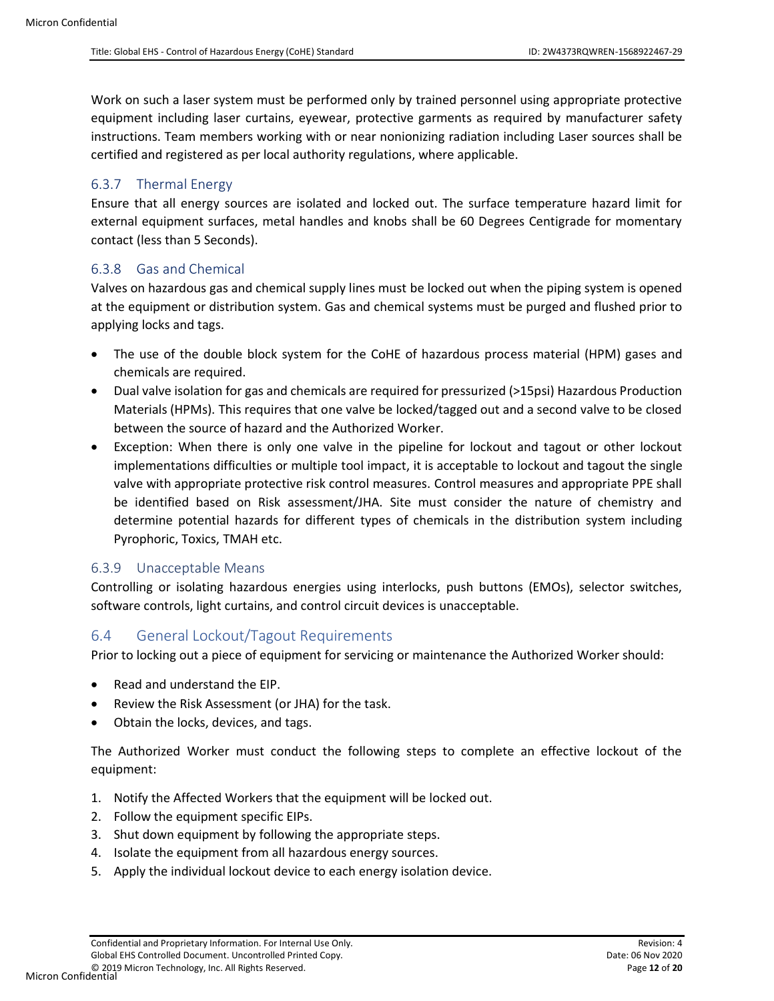Work on such a laser system must be performed only by trained personnel using appropriate protective equipment including laser curtains, eyewear, protective garments as required by manufacturer safety instructions. Team members working with or near nonionizing radiation including Laser sources shall be certified and registered as per local authority regulations, where applicable.

#### <span id="page-11-0"></span>6.3.7 Thermal Energy

Ensure that all energy sources are isolated and locked out. The surface temperature hazard limit for external equipment surfaces, metal handles and knobs shall be 60 Degrees Centigrade for momentary contact (less than 5 Seconds).

#### <span id="page-11-1"></span>6.3.8 Gas and Chemical

Valves on hazardous gas and chemical supply lines must be locked out when the piping system is opened at the equipment or distribution system. Gas and chemical systems must be purged and flushed prior to applying locks and tags.

- The use of the double block system for the CoHE of hazardous process material (HPM) gases and chemicals are required.
- Dual valve isolation for gas and chemicals are required for pressurized (>15psi) Hazardous Production Materials (HPMs). This requires that one valve be locked/tagged out and a second valve to be closed between the source of hazard and the Authorized Worker.
- Exception: When there is only one valve in the pipeline for lockout and tagout or other lockout implementations difficulties or multiple tool impact, it is acceptable to lockout and tagout the single valve with appropriate protective risk control measures. Control measures and appropriate PPE shall be identified based on Risk assessment/JHA. Site must consider the nature of chemistry and determine potential hazards for different types of chemicals in the distribution system including Pyrophoric, Toxics, TMAH etc.

#### <span id="page-11-2"></span>6.3.9 Unacceptable Means

Controlling or isolating hazardous energies using interlocks, push buttons (EMOs), selector switches, software controls, light curtains, and control circuit devices is unacceptable.

### <span id="page-11-3"></span>6.4 General Lockout/Tagout Requirements

Prior to locking out a piece of equipment for servicing or maintenance the Authorized Worker should:

- Read and understand the EIP.
- Review the Risk Assessment (or JHA) for the task.
- Obtain the locks, devices, and tags.

The Authorized Worker must conduct the following steps to complete an effective lockout of the equipment:

- 1. Notify the Affected Workers that the equipment will be locked out.
- 2. Follow the equipment specific EIPs.
- 3. Shut down equipment by following the appropriate steps.
- 4. Isolate the equipment from all hazardous energy sources.
- 5. Apply the individual lockout device to each energy isolation device.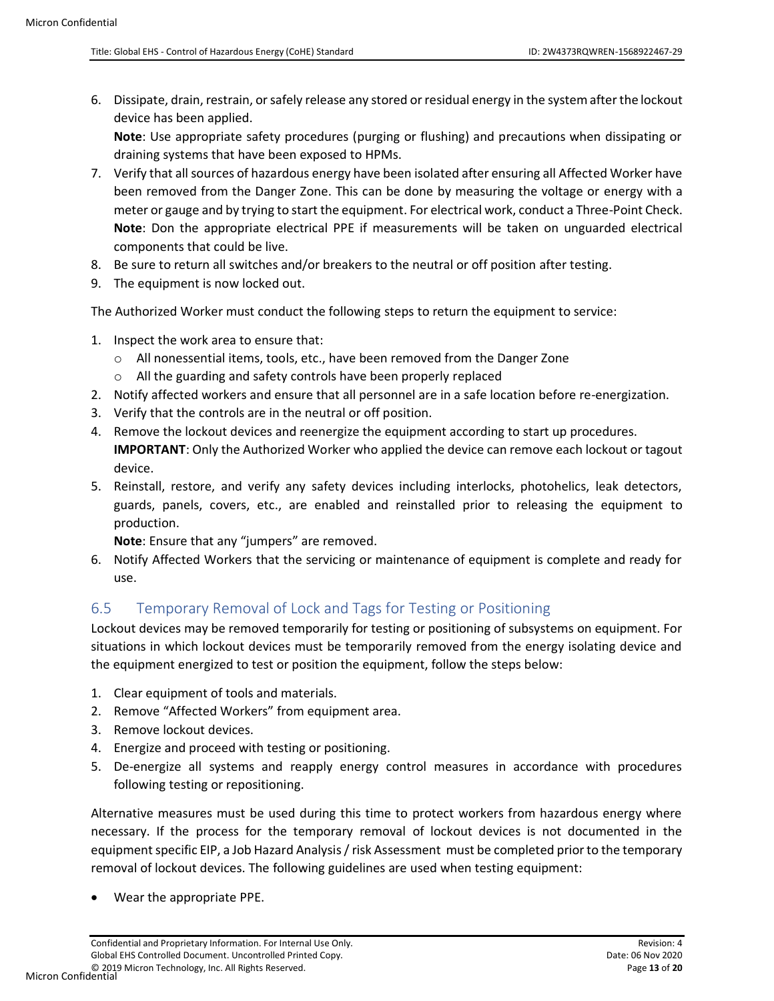6. Dissipate, drain, restrain, or safely release any stored or residual energy in the system after the lockout device has been applied.

**Note**: Use appropriate safety procedures (purging or flushing) and precautions when dissipating or draining systems that have been exposed to HPMs.

- 7. Verify that all sources of hazardous energy have been isolated after ensuring all Affected Worker have been removed from the Danger Zone. This can be done by measuring the voltage or energy with a meter or gauge and by trying to start the equipment. For electrical work, conduct a Three-Point Check. **Note**: Don the appropriate electrical PPE if measurements will be taken on unguarded electrical components that could be live.
- 8. Be sure to return all switches and/or breakers to the neutral or off position after testing.
- 9. The equipment is now locked out.

The Authorized Worker must conduct the following steps to return the equipment to service:

- 1. Inspect the work area to ensure that:
	- o All nonessential items, tools, etc., have been removed from the Danger Zone
	- o All the guarding and safety controls have been properly replaced
- 2. Notify affected workers and ensure that all personnel are in a safe location before re-energization.
- 3. Verify that the controls are in the neutral or off position.
- 4. Remove the lockout devices and reenergize the equipment according to start up procedures. **IMPORTANT**: Only the Authorized Worker who applied the device can remove each lockout or tagout device.
- 5. Reinstall, restore, and verify any safety devices including interlocks, photohelics, leak detectors, guards, panels, covers, etc., are enabled and reinstalled prior to releasing the equipment to production.

**Note**: Ensure that any "jumpers" are removed.

6. Notify Affected Workers that the servicing or maintenance of equipment is complete and ready for use.

# <span id="page-12-0"></span>6.5 Temporary Removal of Lock and Tags for Testing or Positioning

Lockout devices may be removed temporarily for testing or positioning of subsystems on equipment. For situations in which lockout devices must be temporarily removed from the energy isolating device and the equipment energized to test or position the equipment, follow the steps below:

- 1. Clear equipment of tools and materials.
- 2. Remove "Affected Workers" from equipment area.
- 3. Remove lockout devices.
- 4. Energize and proceed with testing or positioning.
- 5. De-energize all systems and reapply energy control measures in accordance with procedures following testing or repositioning.

Alternative measures must be used during this time to protect workers from hazardous energy where necessary. If the process for the temporary removal of lockout devices is not documented in the equipment specific EIP, a Job Hazard Analysis / risk Assessment must be completed prior to the temporary removal of lockout devices. The following guidelines are used when testing equipment:

• Wear the appropriate PPE.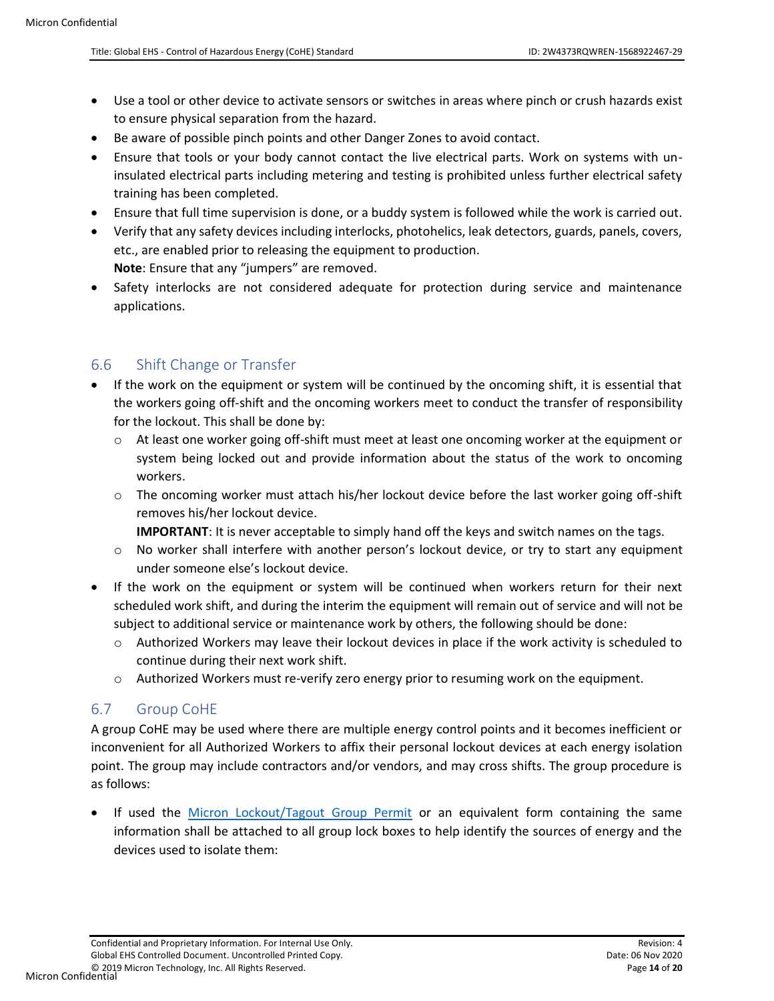- Use a tool or other device to activate sensors or switches in areas where pinch or crush hazards exist to ensure physical separation from the hazard.
- Be aware of possible pinch points and other Danger Zones to avoid contact.
- Ensure that tools or your body cannot contact the live electrical parts. Work on systems with uninsulated electrical parts including metering and testing is prohibited unless further electrical safety training has been completed.
- Ensure that full time supervision is done, or a buddy system is followed while the work is carried out.
- Verify that any safety devices including interlocks, photohelics, leak detectors, guards, panels, covers, etc., are enabled prior to releasing the equipment to production. **Note**: Ensure that any "jumpers" are removed.
- Safety interlocks are not considered adequate for protection during service and maintenance applications.

### <span id="page-13-0"></span>6.6 Shift Change or Transfer

- If the work on the equipment or system will be continued by the oncoming shift, it is essential that the workers going off-shift and the oncoming workers meet to conduct the transfer of responsibility for the lockout. This shall be done by:
	- $\circ$  At least one worker going off-shift must meet at least one oncoming worker at the equipment or system being locked out and provide information about the status of the work to oncoming workers.
	- $\circ$  The oncoming worker must attach his/her lockout device before the last worker going off-shift removes his/her lockout device.
		- **IMPORTANT**: It is never acceptable to simply hand off the keys and switch names on the tags.
	- $\circ$  No worker shall interfere with another person's lockout device, or try to start any equipment under someone else's lockout device.
- If the work on the equipment or system will be continued when workers return for their next scheduled work shift, and during the interim the equipment will remain out of service and will not be subject to additional service or maintenance work by others, the following should be done:
	- $\circ$  Authorized Workers may leave their lockout devices in place if the work activity is scheduled to continue during their next work shift.
	- o Authorized Workers must re-verify zero energy prior to resuming work on the equipment.

# <span id="page-13-1"></span>6.7 Group CoHE

A group CoHE may be used where there are multiple energy control points and it becomes inefficient or inconvenient for all Authorized Workers to affix their personal lockout devices at each energy isolation point. The group may include contractors and/or vendors, and may cross shifts. The group procedure is as follows:

If used the [Micron Lockout/Tagout Group Permit](#page-8-0) or an equivalent form containing the same information shall be attached to all group lock boxes to help identify the sources of energy and the devices used to isolate them: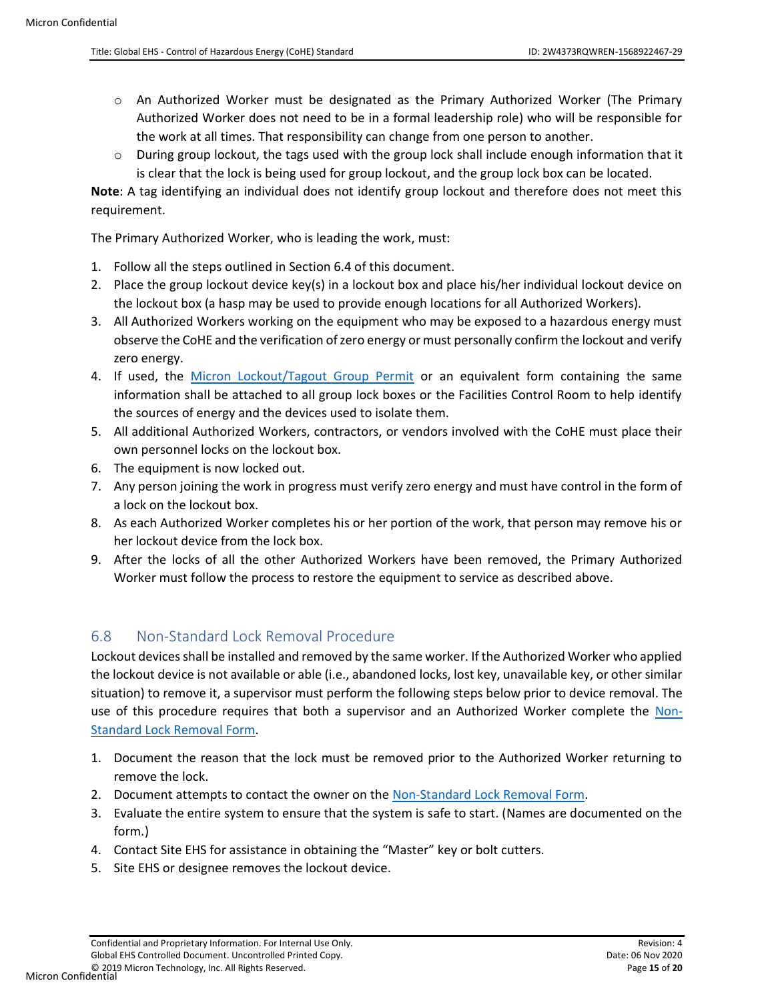- $\circ$  An Authorized Worker must be designated as the Primary Authorized Worker (The Primary Authorized Worker does not need to be in a formal leadership role) who will be responsible for the work at all times. That responsibility can change from one person to another.
- $\circ$  During group lockout, the tags used with the group lock shall include enough information that it is clear that the lock is being used for group lockout, and the group lock box can be located.

**Note**: A tag identifying an individual does not identify group lockout and therefore does not meet this requirement.

The Primary Authorized Worker, who is leading the work, must:

- 1. Follow all the steps outlined in Section 6.4 of this document.
- 2. Place the group lockout device key(s) in a lockout box and place his/her individual lockout device on the lockout box (a hasp may be used to provide enough locations for all Authorized Workers).
- 3. All Authorized Workers working on the equipment who may be exposed to a hazardous energy must observe the CoHE and the verification of zero energy or must personally confirm the lockout and verify zero energy.
- 4. If used, the [Micron Lockout/Tagout Group Permit](#page-8-0) or an equivalent form containing the same information shall be attached to all group lock boxes or the Facilities Control Room to help identify the sources of energy and the devices used to isolate them.
- 5. All additional Authorized Workers, contractors, or vendors involved with the CoHE must place their own personnel locks on the lockout box.
- 6. The equipment is now locked out.
- 7. Any person joining the work in progress must verify zero energy and must have control in the form of a lock on the lockout box.
- 8. As each Authorized Worker completes his or her portion of the work, that person may remove his or her lockout device from the lock box.
- 9. After the locks of all the other Authorized Workers have been removed, the Primary Authorized Worker must follow the process to restore the equipment to service as described above.

# <span id="page-14-0"></span>6.8 Non-Standard Lock Removal Procedure

Lockout devices shall be installed and removed by the same worker. If the Authorized Worker who applied the lockout device is not available or able (i.e., abandoned locks, lost key, unavailable key, or other similar situation) to remove it, a supervisor must perform the following steps below prior to device removal. The use of this procedure requires that both a supervisor and an Authorized Worker complete the [Non-](#page-8-0)[Standard Lock Removal Form.](#page-8-0) 

- 1. Document the reason that the lock must be removed prior to the Authorized Worker returning to remove the lock.
- 2. Document attempts to contact the owner on the [Non-Standard Lock Removal Form.](#page-8-0)
- 3. Evaluate the entire system to ensure that the system is safe to start. (Names are documented on the form.)
- 4. Contact Site EHS for assistance in obtaining the "Master" key or bolt cutters.
- 5. Site EHS or designee removes the lockout device.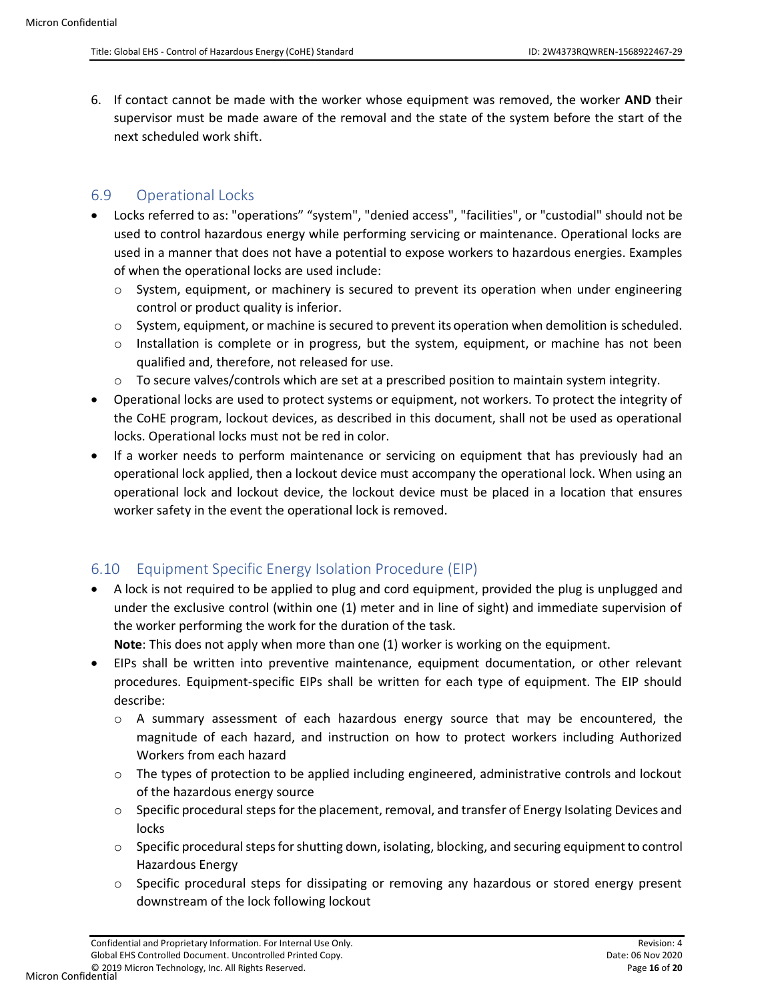6. If contact cannot be made with the worker whose equipment was removed, the worker **AND** their supervisor must be made aware of the removal and the state of the system before the start of the next scheduled work shift.

### <span id="page-15-0"></span>6.9 Operational Locks

- Locks referred to as: "operations" "system", "denied access", "facilities", or "custodial" should not be used to control hazardous energy while performing servicing or maintenance. Operational locks are used in a manner that does not have a potential to expose workers to hazardous energies. Examples of when the operational locks are used include:
	- $\circ$  System, equipment, or machinery is secured to prevent its operation when under engineering control or product quality is inferior.
	- o System, equipment, or machine is secured to prevent its operation when demolition is scheduled.
	- $\circ$  Installation is complete or in progress, but the system, equipment, or machine has not been qualified and, therefore, not released for use.
	- $\circ$  To secure valves/controls which are set at a prescribed position to maintain system integrity.
- Operational locks are used to protect systems or equipment, not workers. To protect the integrity of the CoHE program, lockout devices, as described in this document, shall not be used as operational locks. Operational locks must not be red in color.
- If a worker needs to perform maintenance or servicing on equipment that has previously had an operational lock applied, then a lockout device must accompany the operational lock. When using an operational lock and lockout device, the lockout device must be placed in a location that ensures worker safety in the event the operational lock is removed.

# <span id="page-15-1"></span>6.10 Equipment Specific Energy Isolation Procedure (EIP)

• A lock is not required to be applied to plug and cord equipment, provided the plug is unplugged and under the exclusive control (within one (1) meter and in line of sight) and immediate supervision of the worker performing the work for the duration of the task.

**Note**: This does not apply when more than one (1) worker is working on the equipment.

- EIPs shall be written into preventive maintenance, equipment documentation, or other relevant procedures. Equipment-specific EIPs shall be written for each type of equipment. The EIP should describe:
	- $\circ$  A summary assessment of each hazardous energy source that may be encountered, the magnitude of each hazard, and instruction on how to protect workers including Authorized Workers from each hazard
	- $\circ$  The types of protection to be applied including engineered, administrative controls and lockout of the hazardous energy source
	- $\circ$  Specific procedural steps for the placement, removal, and transfer of Energy Isolating Devices and locks
	- o Specific procedural steps for shutting down, isolating, blocking, and securing equipment to control Hazardous Energy
	- o Specific procedural steps for dissipating or removing any hazardous or stored energy present downstream of the lock following lockout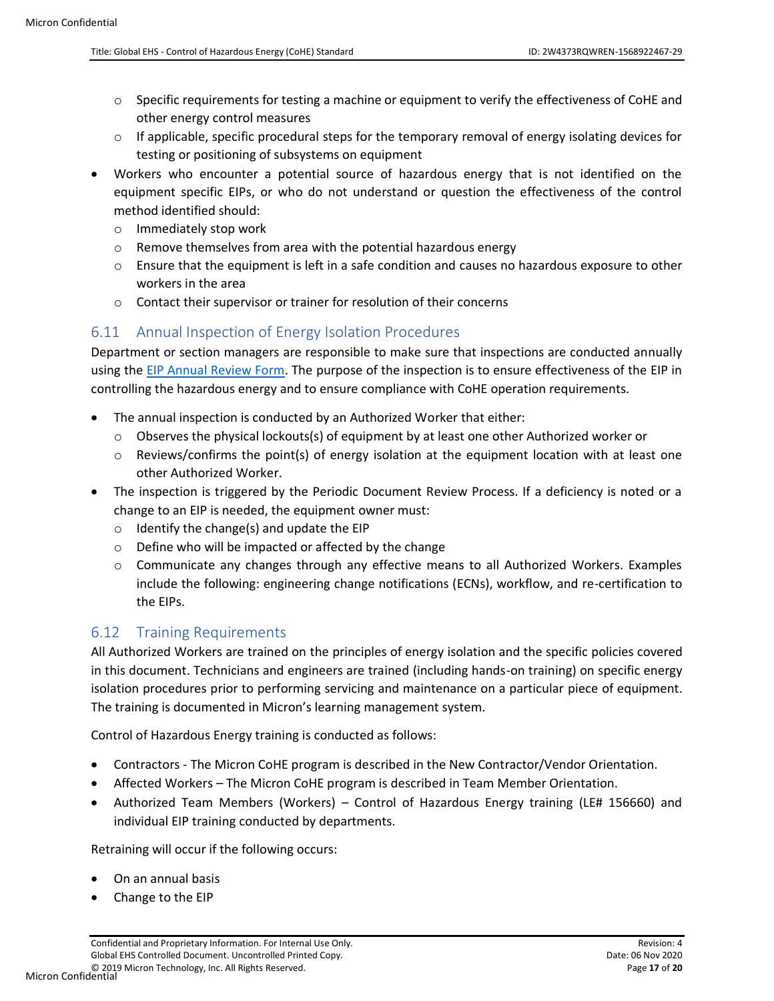- $\circ$  Specific requirements for testing a machine or equipment to verify the effectiveness of CoHE and other energy control measures
- $\circ$  If applicable, specific procedural steps for the temporary removal of energy isolating devices for testing or positioning of subsystems on equipment
- Workers who encounter a potential source of hazardous energy that is not identified on the equipment specific EIPs, or who do not understand or question the effectiveness of the control method identified should:
	- o Immediately stop work
	- o Remove themselves from area with the potential hazardous energy
	- $\circ$  Ensure that the equipment is left in a safe condition and causes no hazardous exposure to other workers in the area
	- o Contact their supervisor or trainer for resolution of their concerns

### <span id="page-16-0"></span>6.11 Annual Inspection of Energy Isolation Procedures

Department or section managers are responsible to make sure that inspections are conducted annually using the [EIP Annual Review Form.](#page-8-0) The purpose of the inspection is to ensure effectiveness of the EIP in controlling the hazardous energy and to ensure compliance with CoHE operation requirements.

- The annual inspection is conducted by an Authorized Worker that either:
	- $\circ$  Observes the physical lockouts(s) of equipment by at least one other Authorized worker or
	- $\circ$  Reviews/confirms the point(s) of energy isolation at the equipment location with at least one other Authorized Worker.
- The inspection is triggered by the Periodic Document Review Process. If a deficiency is noted or a change to an EIP is needed, the equipment owner must:
	- o Identify the change(s) and update the EIP
	- o Define who will be impacted or affected by the change
	- o Communicate any changes through any effective means to all Authorized Workers. Examples include the following: engineering change notifications (ECNs), workflow, and re-certification to the EIPs.

# <span id="page-16-1"></span>6.12 Training Requirements

All Authorized Workers are trained on the principles of energy isolation and the specific policies covered in this document. Technicians and engineers are trained (including hands-on training) on specific energy isolation procedures prior to performing servicing and maintenance on a particular piece of equipment. The training is documented in Micron's learning management system.

Control of Hazardous Energy training is conducted as follows:

- Contractors The Micron CoHE program is described in the New Contractor/Vendor Orientation.
- Affected Workers The Micron CoHE program is described in Team Member Orientation.
- Authorized Team Members (Workers) Control of Hazardous Energy training (LE# 156660) and individual EIP training conducted by departments.

Retraining will occur if the following occurs:

- On an annual basis
- Change to the EIP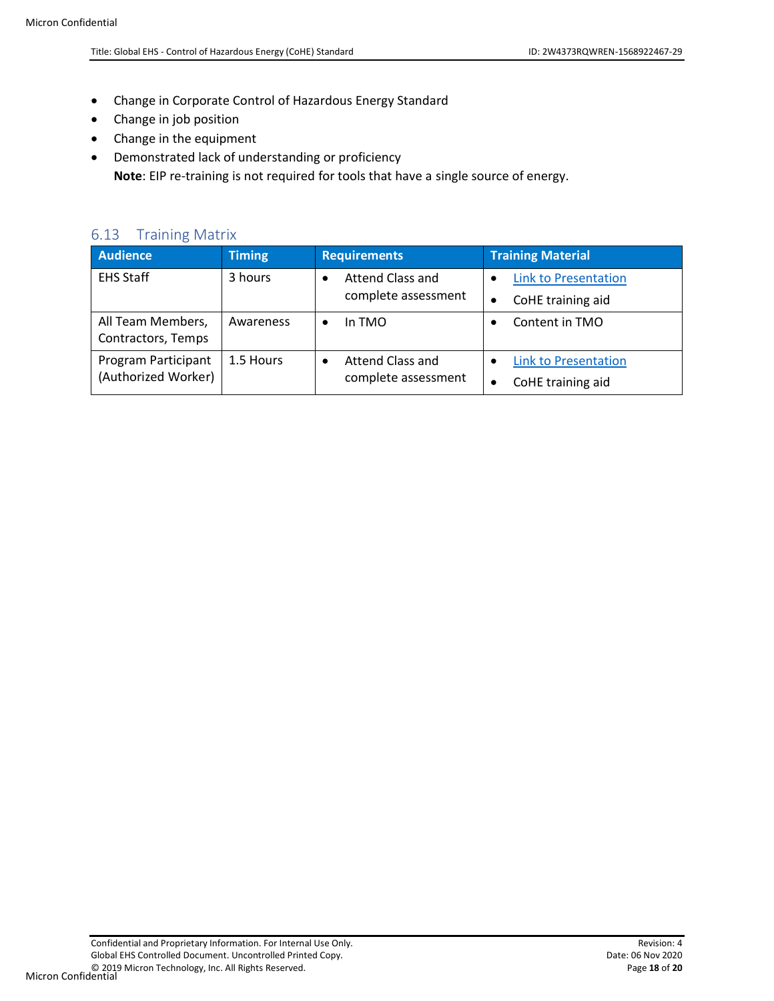- Change in Corporate Control of Hazardous Energy Standard
- Change in job position
- Change in the equipment
- Demonstrated lack of understanding or proficiency **Note**: EIP re-training is not required for tools that have a single source of energy.

#### <span id="page-17-0"></span>6.13 Training Matrix

| <b>Audience</b>     | <b>Timing</b> | <b>Requirements</b>           | <b>Training Material</b>    |
|---------------------|---------------|-------------------------------|-----------------------------|
| <b>EHS Staff</b>    | 3 hours       | Attend Class and<br>$\bullet$ | <b>Link to Presentation</b> |
|                     |               | complete assessment           | CoHE training aid           |
| All Team Members,   | Awareness     | In TMO<br>٠                   | Content in TMO              |
| Contractors, Temps  |               |                               |                             |
| Program Participant | 1.5 Hours     | Attend Class and<br>$\bullet$ | <b>Link to Presentation</b> |
| (Authorized Worker) |               | complete assessment           | CoHE training aid           |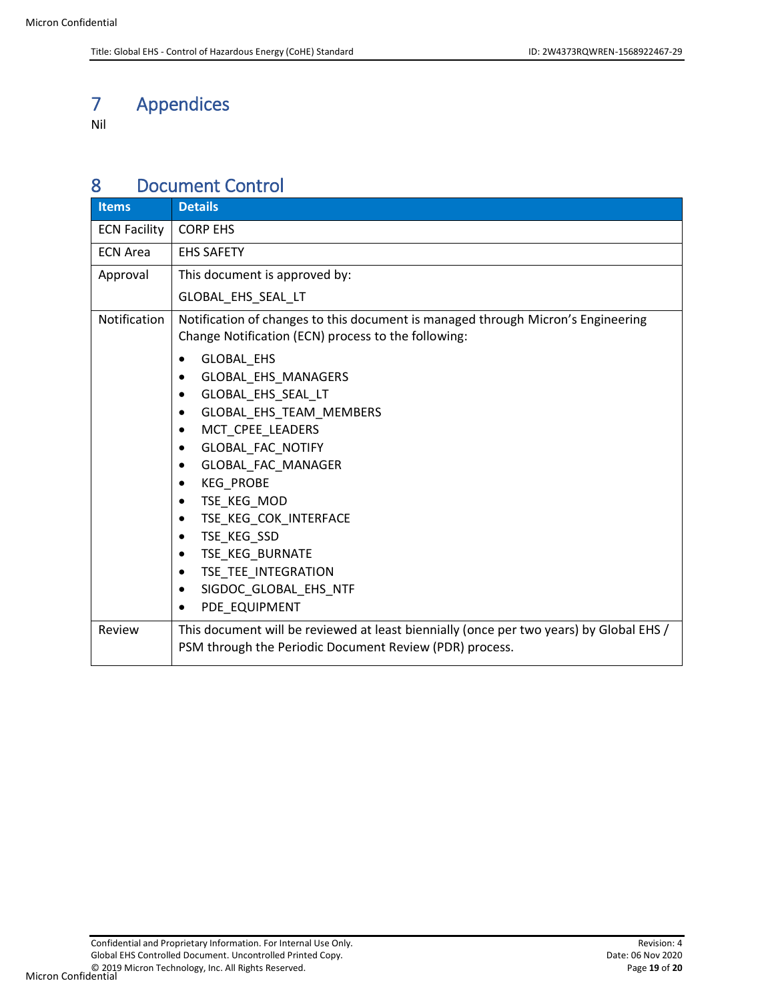# <span id="page-18-0"></span>7 Appendices

Nil

# <span id="page-18-1"></span>8 Document Control

| <b>Items</b>        | <b>Details</b>                                                                                                                                                                                                                                                                                                                                                                                                                       |  |  |  |
|---------------------|--------------------------------------------------------------------------------------------------------------------------------------------------------------------------------------------------------------------------------------------------------------------------------------------------------------------------------------------------------------------------------------------------------------------------------------|--|--|--|
| <b>ECN Facility</b> | <b>CORP EHS</b>                                                                                                                                                                                                                                                                                                                                                                                                                      |  |  |  |
| <b>ECN Area</b>     | <b>EHS SAFETY</b>                                                                                                                                                                                                                                                                                                                                                                                                                    |  |  |  |
| Approval            | This document is approved by:                                                                                                                                                                                                                                                                                                                                                                                                        |  |  |  |
|                     | GLOBAL_EHS_SEAL_LT                                                                                                                                                                                                                                                                                                                                                                                                                   |  |  |  |
| Notification        | Notification of changes to this document is managed through Micron's Engineering<br>Change Notification (ECN) process to the following:<br><b>GLOBAL EHS</b><br>٠<br>GLOBAL EHS MANAGERS<br>$\bullet$<br>GLOBAL EHS SEAL LT<br>$\bullet$<br>GLOBAL EHS TEAM MEMBERS<br>MCT_CPEE_LEADERS<br>٠<br>GLOBAL_FAC_NOTIFY<br>٠<br>GLOBAL_FAC_MANAGER<br>٠<br><b>KEG PROBE</b><br>٠<br>TSE KEG MOD<br>$\bullet$<br>TSE KEG COK INTERFACE<br>٠ |  |  |  |
|                     | TSE_KEG_SSD<br>٠<br>TSE_KEG_BURNATE<br>$\bullet$                                                                                                                                                                                                                                                                                                                                                                                     |  |  |  |
|                     | TSE TEE INTEGRATION<br>٠                                                                                                                                                                                                                                                                                                                                                                                                             |  |  |  |
|                     | SIGDOC GLOBAL EHS NTF<br>٠<br>PDE EQUIPMENT                                                                                                                                                                                                                                                                                                                                                                                          |  |  |  |
| Review              | This document will be reviewed at least biennially (once per two years) by Global EHS /<br>PSM through the Periodic Document Review (PDR) process.                                                                                                                                                                                                                                                                                   |  |  |  |